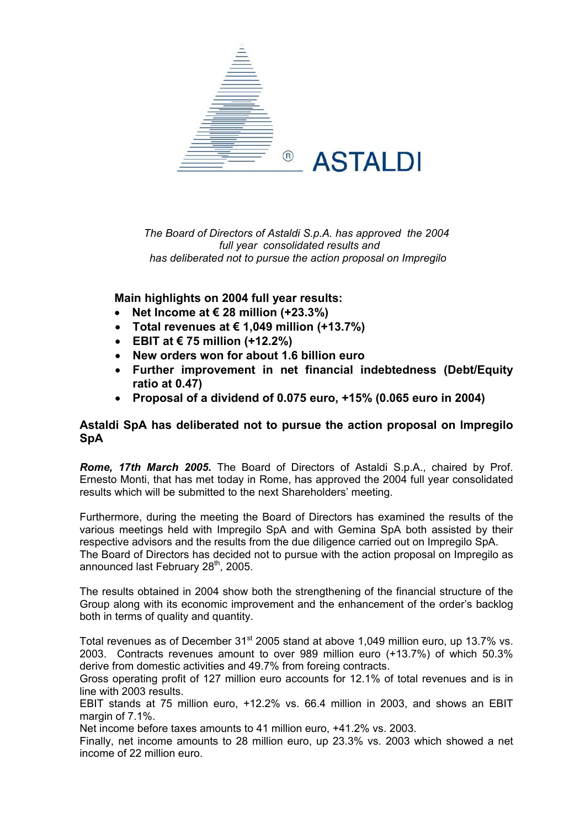

*The Board of Directors of Astaldi S.p.A. has approved the 2004 full year consolidated results and has deliberated not to pursue the action proposal on Impregilo*

# **Main highlights on 2004 full year results:**

- **Net Income at € 28 million (+23.3%)**
- **Total revenues at € 1,049 million (+13.7%)**
- **EBIT at € 75 million (+12.2%)**
- **New orders won for about 1.6 billion euro**
- **Further improvement in net financial indebtedness (Debt/Equity ratio at 0.47)**
- **Proposal of a dividend of 0.075 euro, +15% (0.065 euro in 2004)**

# **Astaldi SpA has deliberated not to pursue the action proposal on Impregilo SpA**

*Rome, 17th March 2005.* The Board of Directors of Astaldi S.p.A., chaired by Prof. Ernesto Monti, that has met today in Rome, has approved the 2004 full year consolidated results which will be submitted to the next Shareholders' meeting.

Furthermore, during the meeting the Board of Directors has examined the results of the various meetings held with Impregilo SpA and with Gemina SpA both assisted by their respective advisors and the results from the due diligence carried out on Impregilo SpA. The Board of Directors has decided not to pursue with the action proposal on Impregilo as announced last February 28<sup>th</sup>, 2005.

The results obtained in 2004 show both the strengthening of the financial structure of the Group along with its economic improvement and the enhancement of the order's backlog both in terms of quality and quantity.

Total revenues as of December 31<sup>st</sup> 2005 stand at above 1,049 million euro, up 13.7% vs. 2003. Contracts revenues amount to over 989 million euro (+13.7%) of which 50.3% derive from domestic activities and 49.7% from foreing contracts.

Gross operating profit of 127 million euro accounts for 12.1% of total revenues and is in line with 2003 results.

EBIT stands at 75 million euro, +12.2% vs. 66.4 million in 2003, and shows an EBIT margin of 7.1%.

Net income before taxes amounts to 41 million euro, +41.2% vs. 2003.

Finally, net income amounts to 28 million euro, up 23.3% vs. 2003 which showed a net income of 22 million euro.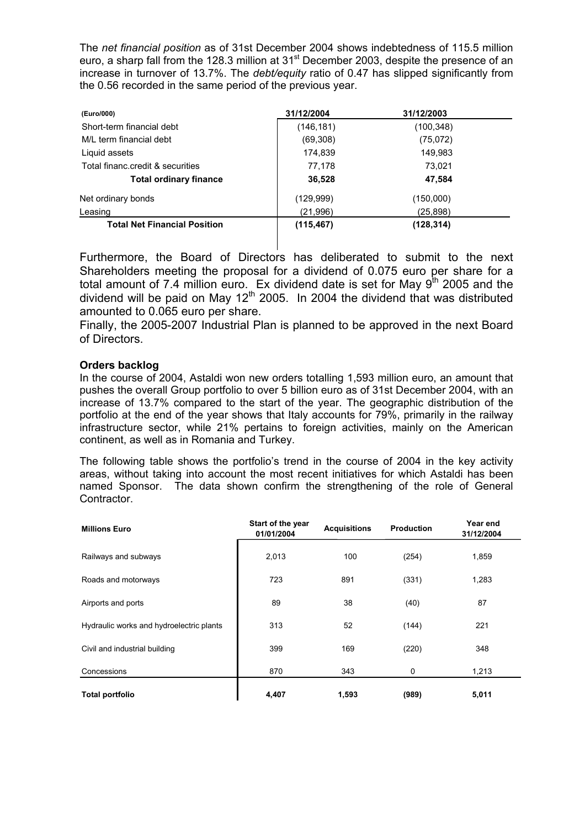The *net financial position* as of 31st December 2004 shows indebtedness of 115.5 million euro, a sharp fall from the 128.3 million at 31<sup>st</sup> December 2003, despite the presence of an increase in turnover of 13.7%. The *debt/equity* ratio of 0.47 has slipped significantly from the 0.56 recorded in the same period of the previous year.

| (Euro/000)                          | 31/12/2004 | 31/12/2003 |  |
|-------------------------------------|------------|------------|--|
| Short-term financial debt           | (146,181)  | (100,348)  |  |
| M/L term financial debt             | (69,308)   | (75,072)   |  |
| Liquid assets                       | 174,839    | 149,983    |  |
| Total financ.credit & securities    | 77.178     | 73,021     |  |
| <b>Total ordinary finance</b>       | 36,528     | 47,584     |  |
| Net ordinary bonds                  | (129,999)  | (150,000)  |  |
| Leasing                             | (21,996)   | (25, 898)  |  |
| <b>Total Net Financial Position</b> | (115, 467) | (128,314)  |  |

Furthermore, the Board of Directors has deliberated to submit to the next Shareholders meeting the proposal for a dividend of 0.075 euro per share for a total amount of 7.4 million euro. Ex dividend date is set for May 9<sup>th</sup> 2005 and the dividend will be paid on May  $12<sup>th</sup>$  2005. In 2004 the dividend that was distributed amounted to 0.065 euro per share.

Finally, the 2005-2007 Industrial Plan is planned to be approved in the next Board of Directors.

## **Orders backlog**

In the course of 2004, Astaldi won new orders totalling 1,593 million euro, an amount that pushes the overall Group portfolio to over 5 billion euro as of 31st December 2004, with an increase of 13.7% compared to the start of the year. The geographic distribution of the portfolio at the end of the year shows that Italy accounts for 79%, primarily in the railway infrastructure sector, while 21% pertains to foreign activities, mainly on the American continent, as well as in Romania and Turkey.

The following table shows the portfolio's trend in the course of 2004 in the key activity areas, without taking into account the most recent initiatives for which Astaldi has been named Sponsor. The data shown confirm the strengthening of the role of General Contractor.

| <b>Millions Euro</b>                     | Start of the year<br>01/01/2004 | <b>Acquisitions</b> | <b>Production</b> | Year end<br>31/12/2004 |
|------------------------------------------|---------------------------------|---------------------|-------------------|------------------------|
| Railways and subways                     | 2,013                           | 100                 | (254)             | 1,859                  |
| Roads and motorways                      | 723                             | 891                 | (331)             | 1,283                  |
| Airports and ports                       | 89                              | 38                  | (40)              | 87                     |
| Hydraulic works and hydroelectric plants | 313                             | 52                  | (144)             | 221                    |
| Civil and industrial building            | 399                             | 169                 | (220)             | 348                    |
| Concessions                              | 870                             | 343                 | 0                 | 1,213                  |
| <b>Total portfolio</b>                   | 4,407                           | 1,593               | (989)             | 5,011                  |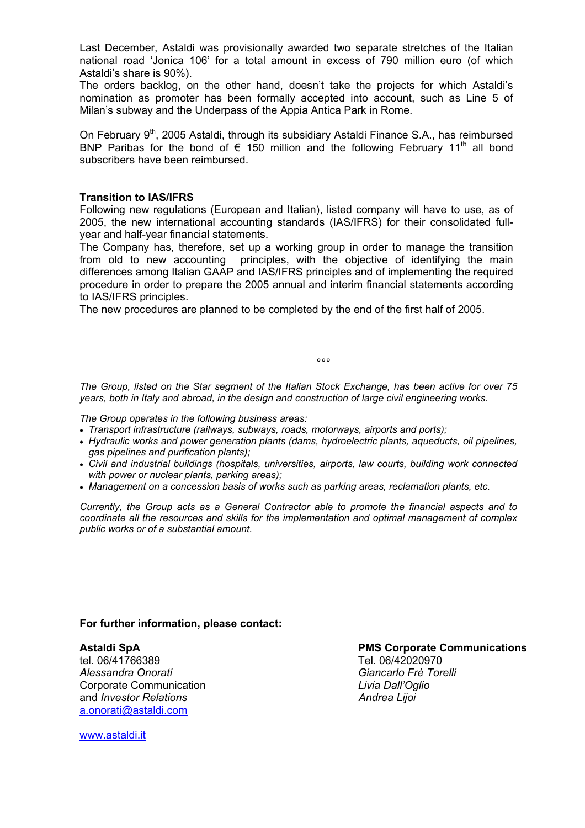Last December, Astaldi was provisionally awarded two separate stretches of the Italian national road 'Jonica 106' for a total amount in excess of 790 million euro (of which Astaldi's share is 90%).

The orders backlog, on the other hand, doesn't take the projects for which Astaldi's nomination as promoter has been formally accepted into account, such as Line 5 of Milan's subway and the Underpass of the Appia Antica Park in Rome.

On February 9<sup>th</sup>, 2005 Astaldi, through its subsidiary Astaldi Finance S.A., has reimbursed BNP Paribas for the bond of  $\epsilon$  150 million and the following February 11<sup>th</sup> all bond subscribers have been reimbursed.

## **Transition to IAS/IFRS**

Following new regulations (European and Italian), listed company will have to use, as of 2005, the new international accounting standards (IAS/IFRS) for their consolidated fullyear and half-year financial statements.

The Company has, therefore, set up a working group in order to manage the transition from old to new accounting principles, with the objective of identifying the main differences among Italian GAAP and IAS/IFRS principles and of implementing the required procedure in order to prepare the 2005 annual and interim financial statements according to IAS/IFRS principles.

The new procedures are planned to be completed by the end of the first half of 2005.

*The Group, listed on the Star segment of the Italian Stock Exchange, has been active for over 75 years, both in Italy and abroad, in the design and construction of large civil engineering works.* 

*The Group operates in the following business areas:* 

ли в селото в селото в селото в селото в селото в селото в селото в селото в селото в селото в селото в селото<br>В селото в селото в селото в селото в селото в селото в селото в селото в селото в селото в селото в селото в<br>

- *Transport infrastructure (railways, subways, roads, motorways, airports and ports);*
- *Hydraulic works and power generation plants (dams, hydroelectric plants, aqueducts, oil pipelines, gas pipelines and purification plants);*
- *Civil and industrial buildings (hospitals, universities, airports, law courts, building work connected with power or nuclear plants, parking areas);*
- *Management on a concession basis of works such as parking areas, reclamation plants, etc.*

*Currently, the Group acts as a General Contractor able to promote the financial aspects and to coordinate all the resources and skills for the implementation and optimal management of complex public works or of a substantial amount.* 

#### **For further information, please contact:**

tel. 06/41766389 Tel. 06/42020970 *Alessandra Onorati Giancarlo Frè Torelli* Corporate Communication *Livia Dall'Oglio*  and *Investor Relations* and *Investor Relations* and *Andrea Lijoi* **Andrea** *Andrea Andrea Andrea Andrea Andrea Andrea Andrea Andrea Andrea Andrea Andrea Andrea Andrea Andrea Andrea Andrea* [a.onorati@astaldi.com](mailto:a.onorati@astaldi.com)

#### **Astaldi SpA PMS Corporate Communications**

[www.astaldi.it](http://www.astaldi.it/)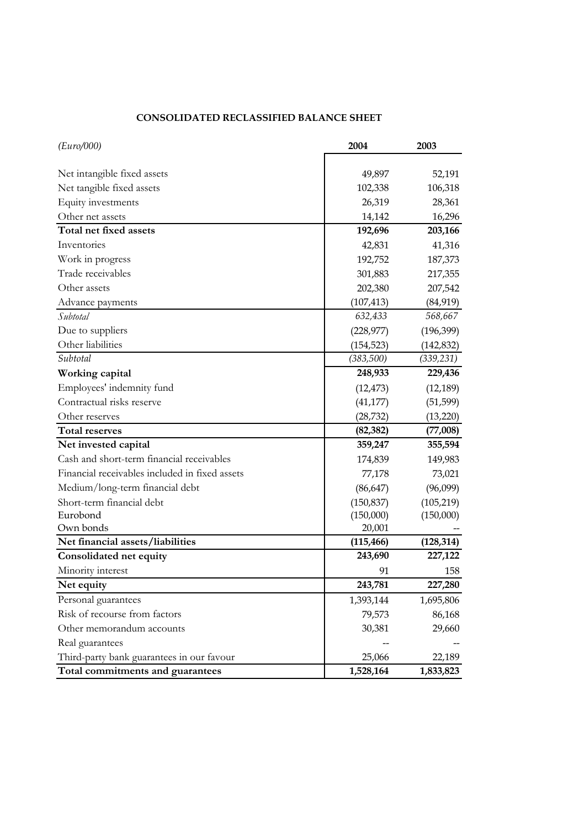## **CONSOLIDATED RECLASSIFIED BALANCE SHEET**

| (Euro/000)                                     | 2004       | 2003       |
|------------------------------------------------|------------|------------|
|                                                |            |            |
| Net intangible fixed assets                    | 49,897     | 52,191     |
| Net tangible fixed assets                      | 102,338    | 106,318    |
| Equity investments                             | 26,319     | 28,361     |
| Other net assets                               | 14,142     | 16,296     |
| Total net fixed assets                         | 192,696    | 203,166    |
| Inventories                                    | 42,831     | 41,316     |
| Work in progress                               | 192,752    | 187,373    |
| Trade receivables                              | 301,883    | 217,355    |
| Other assets                                   | 202,380    | 207,542    |
| Advance payments                               | (107, 413) | (84, 919)  |
| Subtotal                                       | 632,433    | 568,667    |
| Due to suppliers                               | (228, 977) | (196, 399) |
| Other liabilities                              | (154, 523) | (142, 832) |
| Subtotal                                       | (383,500)  | (339, 231) |
| Working capital                                | 248,933    | 229,436    |
| Employees' indemnity fund                      | (12, 473)  | (12, 189)  |
| Contractual risks reserve                      | (41, 177)  | (51, 599)  |
| Other reserves                                 | (28, 732)  | (13, 220)  |
| <b>Total reserves</b>                          | (82, 382)  | (77,008)   |
| Net invested capital                           | 359,247    | 355,594    |
| Cash and short-term financial receivables      | 174,839    | 149,983    |
| Financial receivables included in fixed assets | 77,178     | 73,021     |
| Medium/long-term financial debt                | (86, 647)  | (96,099)   |
| Short-term financial debt                      | (150, 837) | (105, 219) |
| Eurobond                                       | (150,000)  | (150,000)  |
| Own bonds                                      | 20,001     |            |
| Net financial assets/liabilities               | (115, 466) | (128, 314) |
| Consolidated net equity                        | 243,690    | 227,122    |
| Minority interest                              | 91         | 158        |
| Net equity                                     | 243,781    | 227,280    |
| Personal guarantees                            | 1,393,144  | 1,695,806  |
| Risk of recourse from factors                  | 79,573     | 86,168     |
| Other memorandum accounts                      | 30,381     | 29,660     |
| Real guarantees                                |            |            |
| Third-party bank guarantees in our favour      | 25,066     | 22,189     |
| Total commitments and guarantees               | 1,528,164  | 1,833,823  |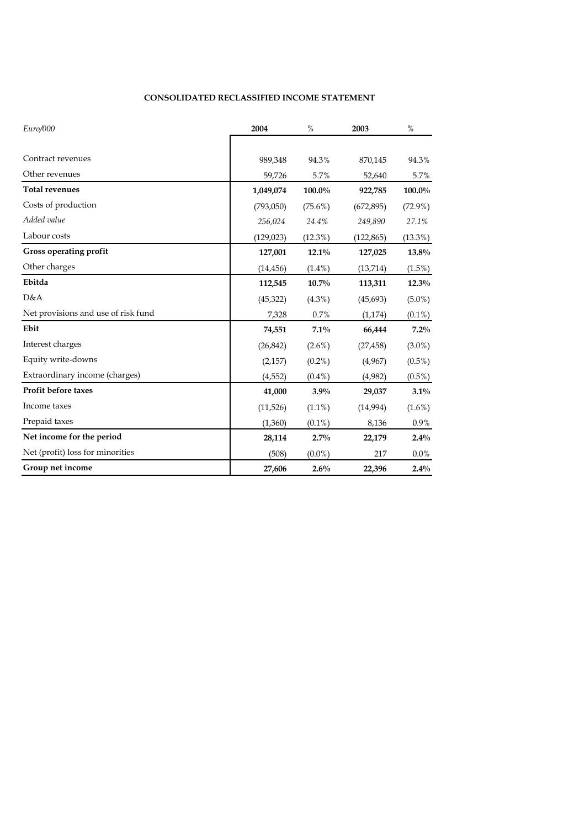### **CONSOLIDATED RECLASSIFIED INCOME STATEMENT**

| Euro/000                            | 2004       | $\%$       | 2003       | $\%$       |
|-------------------------------------|------------|------------|------------|------------|
|                                     |            |            |            |            |
| Contract revenues                   | 989,348    | 94.3%      | 870,145    | 94.3%      |
| Other revenues                      | 59,726     | 5.7%       | 52,640     | 5.7%       |
| <b>Total revenues</b>               | 1,049,074  | 100.0%     | 922,785    | 100.0%     |
| Costs of production                 | (793,050)  | $(75.6\%)$ | (672, 895) | $(72.9\%)$ |
| Added value                         | 256,024    | 24.4%      | 249,890    | 27.1%      |
| Labour costs                        | (129, 023) | $(12.3\%)$ | (122, 865) | $(13.3\%)$ |
| Gross operating profit              | 127,001    | $12.1\%$   | 127,025    | 13.8%      |
| Other charges                       | (14, 456)  | $(1.4\%)$  | (13, 714)  | (1.5%)     |
| Ebitda                              | 112,545    | 10.7%      | 113,311    | $12.3\%$   |
| D&A                                 | (45, 322)  | $(4.3\%)$  | (45, 693)  | $(5.0\%)$  |
| Net provisions and use of risk fund | 7,328      | 0.7%       | (1, 174)   | $(0.1\%)$  |
| Ebit                                | 74,551     | 7.1%       | 66,444     | 7.2%       |
| Interest charges                    | (26, 842)  | $(2.6\%)$  | (27, 458)  | $(3.0\%)$  |
| Equity write-downs                  | (2,157)    | $(0.2\%)$  | (4,967)    | $(0.5\%)$  |
| Extraordinary income (charges)      | (4, 552)   | $(0.4\%)$  | (4,982)    | $(0.5\%)$  |
| Profit before taxes                 | 41,000     | 3.9%       | 29,037     | 3.1%       |
| Income taxes                        | (11,526)   | $(1.1\%)$  | (14,994)   | $(1.6\%)$  |
| Prepaid taxes                       | (1,360)    | $(0.1\%)$  | 8,136      | 0.9%       |
| Net income for the period           | 28,114     | $2.7\%$    | 22,179     | 2.4%       |
| Net (profit) loss for minorities    | (508)      | $(0.0\%)$  | 217        | $0.0\%$    |
| Group net income                    | 27,606     | $2.6\%$    | 22,396     | $2.4\%$    |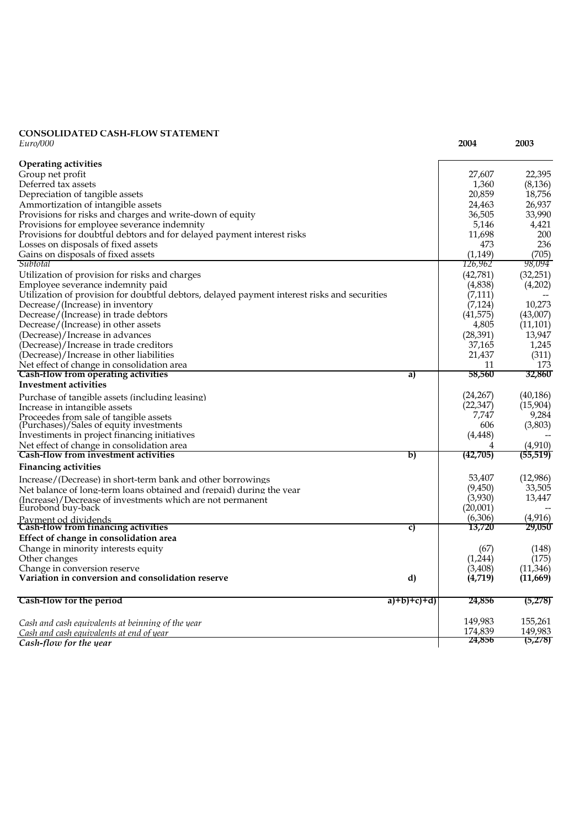#### **CONSOLIDATED CASH-FLOW STATEMENT** *Euro/000* **2004 2003**

| <b>Operating activities</b>                                                                  |             |                   |                    |
|----------------------------------------------------------------------------------------------|-------------|-------------------|--------------------|
| Group net profit                                                                             |             | 27,607            | 22,395             |
| Deferred tax assets                                                                          |             | 1,360             | (8, 136)           |
| Depreciation of tangible assets                                                              |             | 20,859            | 18,756             |
| Ammortization of intangible assets                                                           |             | 24,463            | 26,937             |
| Provisions for risks and charges and write-down of equity                                    |             | 36,505            | 33,990             |
| Provisions for employee severance indemnity                                                  |             | 5,146             | 4,421              |
| Provisions for doubtful debtors and for delayed payment interest risks                       |             | 11,698            | 200                |
| Losses on disposals of fixed assets                                                          |             | 473               | 236                |
| Gains on disposals of fixed assets                                                           |             | (1,149)           | (705)              |
| Subtotal                                                                                     |             | 126,962           | 98,094             |
| Utilization of provision for risks and charges                                               |             | (42,781)          | (32,251)           |
| Employee severance indemnity paid                                                            |             | (4,838)           | (4,202)            |
| Utilization of provision for doubtful debtors, delayed payment interest risks and securities |             | (7, 111)          |                    |
| Decrease/(Increase) in inventory                                                             |             | (7, 124)          | 10,273             |
| Decrease/(Increase) in trade debtors                                                         |             | (41, 575)         | (43,007)           |
| Decrease/(Increase) in other assets                                                          |             | 4,805             | (11, 101)          |
| (Decrease)/Increase in advances                                                              |             | (28, 391)         | 13,947             |
| (Decrease)/Increase in trade creditors                                                       |             | 37,165            | 1,245              |
| (Decrease)/Increase in other liabilities                                                     |             | 21,437            | (311)              |
| Net effect of change in consolidation area                                                   |             | 11                | 173                |
| <b>Cash-flow from operating activities</b>                                                   | a)          | 58,560            | 32,860             |
| <b>Investment activities</b>                                                                 |             |                   |                    |
| Purchase of tangible assets (including leasing)                                              |             | (24, 267)         | (40, 186)          |
| Increase in intangible assets                                                                |             | (22, 347)         | (15,904)           |
| Proceedes from sale of tangible assets                                                       |             | 7,747             | 9,284              |
| (Purchases)/Sales of equity investments                                                      |             | 606               | (3,803)            |
| Investiments in project financing initiatives                                                |             | (4, 448)          |                    |
| Net effect of change in consolidation area                                                   |             | 4                 | (4,910)            |
| Cash-flow from investment activities                                                         | b)          | (42,705)          | (55, 519)          |
| <b>Financing activities</b>                                                                  |             |                   |                    |
| Increase/(Decrease) in short-term bank and other borrowings                                  |             | 53,407            | (12,986)           |
| Net balance of long-term loans obtained and (repaid) during the year                         |             | (9,450)           | 33,505             |
| (Increase)/Decrease of investments which are not permanent                                   |             | (3,930)           | 13,447             |
| Eurobond buy-back                                                                            |             | (20,001)          |                    |
| Payment od dividends<br><b>Cash-flow from financing activities</b>                           | C)          | (6,306)<br>13,720 | (4, 916)<br>29,050 |
| Effect of change in consolidation area                                                       |             |                   |                    |
| Change in minority interests equity                                                          |             | (67)              | (148)              |
| Other changes                                                                                |             | (1,244)           | (175)              |
| Change in conversion reserve                                                                 |             | (3,408)           | (11,346)           |
| Variation in conversion and consolidation reserve                                            | d)          | (4,719)           | (11,669)           |
|                                                                                              |             |                   |                    |
| Cash-flow for the period                                                                     | $a)+b)+c+d$ | 24,856            | (5,278)            |
| Cash and cash equivalents at beinning of the year                                            |             | 149,983           | 155,261            |
| Cash and cash equivalents at end of year                                                     |             | 174,839           | 149,983            |
| Cash-flow for the year                                                                       |             | 24,856            | (5,278)            |
|                                                                                              |             |                   |                    |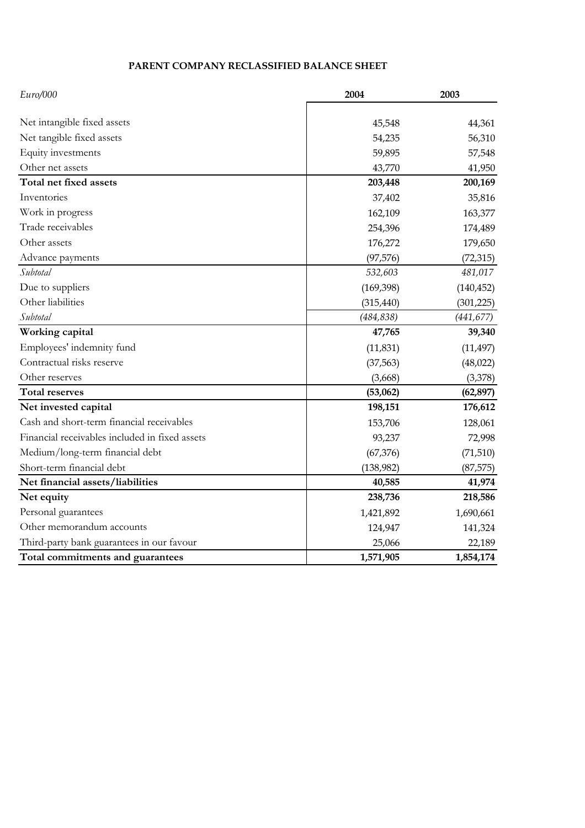# **PARENT COMPANY RECLASSIFIED BALANCE SHEET**

| Euro/000                                       | 2004       | 2003       |
|------------------------------------------------|------------|------------|
|                                                |            |            |
| Net intangible fixed assets                    | 45,548     | 44,361     |
| Net tangible fixed assets                      | 54,235     | 56,310     |
| Equity investments                             | 59,895     | 57,548     |
| Other net assets                               | 43,770     | 41,950     |
| Total net fixed assets                         | 203,448    | 200,169    |
| Inventories                                    | 37,402     | 35,816     |
| Work in progress                               | 162,109    | 163,377    |
| Trade receivables                              | 254,396    | 174,489    |
| Other assets                                   | 176,272    | 179,650    |
| Advance payments                               | (97, 576)  | (72, 315)  |
| Subtotal                                       | 532,603    | 481,017    |
| Due to suppliers                               | (169, 398) | (140, 452) |
| Other liabilities                              | (315, 440) | (301, 225) |
| Subtotal                                       | (484, 838) | (441, 677) |
| Working capital                                | 47,765     | 39,340     |
| Employees' indemnity fund                      | (11, 831)  | (11, 497)  |
| Contractual risks reserve                      | (37, 563)  | (48,022)   |
| Other reserves                                 | (3,668)    | (3,378)    |
| <b>Total reserves</b>                          | (53,062)   | (62, 897)  |
| Net invested capital                           | 198,151    | 176,612    |
| Cash and short-term financial receivables      | 153,706    | 128,061    |
| Financial receivables included in fixed assets | 93,237     | 72,998     |
| Medium/long-term financial debt                | (67, 376)  | (71, 510)  |
| Short-term financial debt                      | (138, 982) | (87, 575)  |
| Net financial assets/liabilities               | 40,585     | 41,974     |
| Net equity                                     | 238,736    | 218,586    |
| Personal guarantees                            | 1,421,892  | 1,690,661  |
| Other memorandum accounts                      | 124,947    | 141,324    |
| Third-party bank guarantees in our favour      | 25,066     | 22,189     |
| Total commitments and guarantees               | 1,571,905  | 1,854,174  |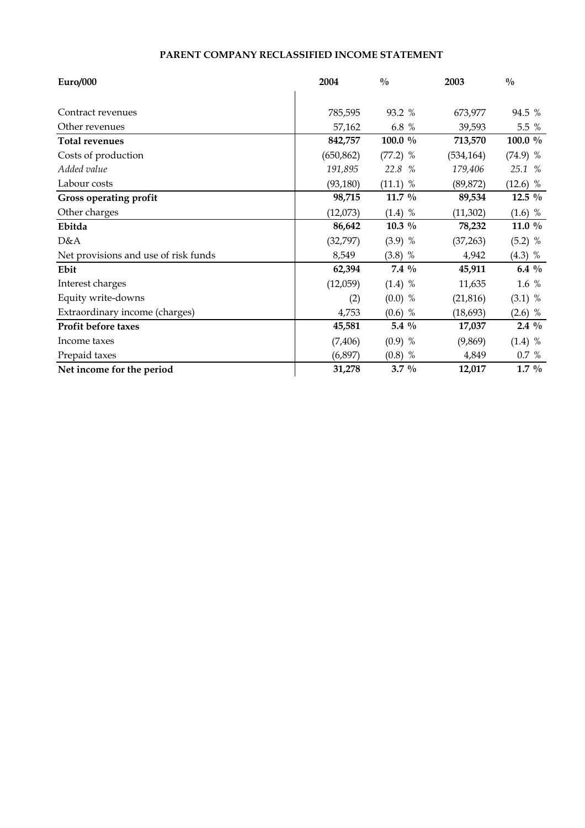# **PARENT COMPANY RECLASSIFIED INCOME STATEMENT**

| Euro/000                             | 2004       | $^{0}/_{0}$ | 2003       | $\frac{0}{0}$ |
|--------------------------------------|------------|-------------|------------|---------------|
|                                      |            |             |            |               |
| Contract revenues                    | 785,595    | 93.2 %      | 673,977    | 94.5 %        |
| Other revenues                       | 57,162     | 6.8 %       | 39,593     | 5.5 %         |
| <b>Total revenues</b>                | 842,757    | 100.0 %     | 713,570    | 100.0 %       |
| Costs of production                  | (650, 862) | $(77.2)$ %  | (534, 164) | $(74.9)$ %    |
| Added value                          | 191,895    | 22.8 %      | 179,406    | 25.1 %        |
| Labour costs                         | (93, 180)  | $(11.1)$ %  | (89, 872)  | $(12.6)$ %    |
| Gross operating profit               | 98,715     | 11.7 $\%$   | 89,534     | 12.5 $\%$     |
| Other charges                        | (12,073)   | $(1.4)$ %   | (11, 302)  | $(1.6)$ %     |
| Ebitda                               | 86,642     | $10.3\%$    | 78,232     | 11.0 $\%$     |
| D&A                                  | (32, 797)  | $(3.9)$ %   | (37, 263)  | $(5.2)$ %     |
| Net provisions and use of risk funds | 8,549      | $(3.8)$ %   | 4,942      | $(4.3)$ %     |
| Ebit                                 | 62,394     | $7.4\%$     | 45,911     | 6.4 $\%$      |
| Interest charges                     | (12,059)   | $(1.4)$ %   | 11,635     | 1.6 %         |
| Equity write-downs                   | (2)        | $(0.0)$ %   | (21, 816)  | $(3.1)$ %     |
| Extraordinary income (charges)       | 4,753      | $(0.6)$ %   | (18, 693)  | $(2.6)$ %     |
| Profit before taxes                  | 45,581     | 5.4 $\%$    | 17,037     | $2.4\%$       |
| Income taxes                         | (7, 406)   | $(0.9)$ %   | (9,869)    | $(1.4)$ %     |
| Prepaid taxes                        | (6,897)    | $(0.8)$ %   | 4,849      | 0.7 %         |
| Net income for the period            | 31,278     | $3.7\%$     | 12,017     | $1.7\%$       |